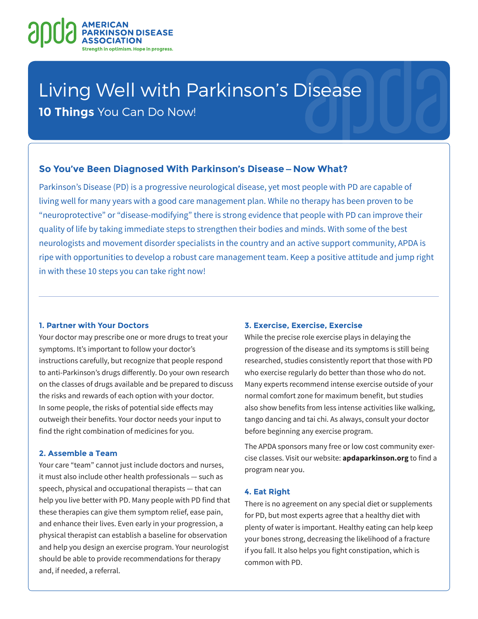

# Living Well with Parkinson's Disease

**10 Things** You Can Do Now!

## **So You've Been Diagnosed With Parkinson's Disease—Now What?**

Parkinson's Disease (PD) is a progressive neurological disease, yet most people with PD are capable of living well for many years with a good care management plan. While no therapy has been proven to be "neuroprotective" or "disease-modifying" there is strong evidence that people with PD can improve their quality of life by taking immediate steps to strengthen their bodies and minds. With some of the best neurologists and movement disorder specialists in the country and an active support community, APDA is ripe with opportunities to develop a robust care management team. Keep a positive attitude and jump right in with these 10 steps you can take right now!

#### **1. Partner with Your Doctors**

Your doctor may prescribe one or more drugs to treat your symptoms. It's important to follow your doctor's instructions carefully, but recognize that people respond to anti-Parkinson's drugs differently. Do your own research on the classes of drugs available and be prepared to discuss the risks and rewards of each option with your doctor. In some people, the risks of potential side effects may outweigh their benefits. Your doctor needs your input to find the right combination of medicines for you.

### **2. Assemble a Team**

Your care "team" cannot just include doctors and nurses, it must also include other health professionals — such as speech, physical and occupational therapists — that can help you live better with PD. Many people with PD find that these therapies can give them symptom relief, ease pain, and enhance their lives. Even early in your progression, a physical therapist can establish a baseline for observation and help you design an exercise program. Your neurologist should be able to provide recommendations for therapy and, if needed, a referral.

#### **3. Exercise, Exercise, Exercise**

While the precise role exercise plays in delaying the progression of the disease and its symptoms is still being researched, studies consistently report that those with PD who exercise regularly do better than those who do not. Many experts recommend intense exercise outside of your normal comfort zone for maximum benefit, but studies also show benefits from less intense activities like walking, tango dancing and tai chi. As always, consult your doctor before beginning any exercise program.

The APDA sponsors many free or low cost community exercise classes. Visit our website: **apdaparkinson.org** to find a program near you.

#### **4. Eat Right**

There is no agreement on any special diet or supplements for PD, but most experts agree that a healthy diet with plenty of water is important. Healthy eating can help keep your bones strong, decreasing the likelihood of a fracture if you fall. It also helps you fight constipation, which is common with PD.